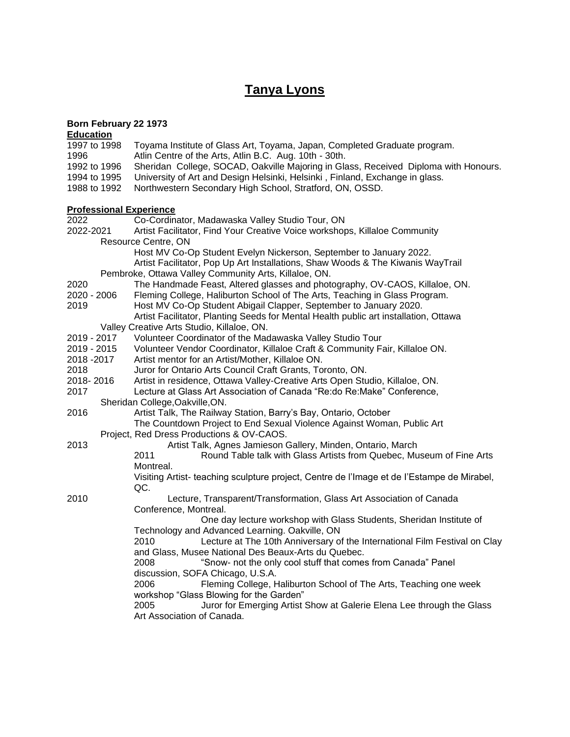# **Tanya Lyons**

#### **Born February 22 1973**

#### **Education** 1997 to 1998 Toyama Institute of Glass Art, Toyama, Japan, Completed Graduate program. 1996 Atlin Centre of the Arts, Atlin B.C. Aug. 10th - 30th. 1992 to 1996 Sheridan College, SOCAD, Oakville Majoring in Glass, Received Diploma with Honours. 1994 to 1995 University of Art and Design Helsinki, Helsinki , Finland, Exchange in glass. 1988 to 1992 Northwestern Secondary High School, Stratford, ON, OSSD. **Professional Experience** Co-Cordinator, Madawaska Valley Studio Tour, ON 2022-2021 Artist Facilitator, Find Your Creative Voice workshops, Killaloe Community Resource Centre, ON Host MV Co-Op Student Evelyn Nickerson, September to January 2022. Artist Facilitator, Pop Up Art Installations, Shaw Woods & The Kiwanis WayTrail Pembroke, Ottawa Valley Community Arts, Killaloe, ON. 2020 The Handmade Feast, Altered glasses and photography, OV-CAOS, Killaloe, ON. 2020 - 2006 Fleming College, Haliburton School of The Arts, Teaching in Glass Program. 2019 Host MV Co-Op Student Abigail Clapper, September to January 2020. Artist Facilitator, Planting Seeds for Mental Health public art installation, Ottawa Valley Creative Arts Studio, Killaloe, ON. 2019 - 2017 Volunteer Coordinator of the Madawaska Valley Studio Tour 2019 - 2015 Volunteer Vendor Coordinator, Killaloe Craft & Community Fair, Killaloe ON. 2018 -2017 Artist mentor for an Artist/Mother, Killaloe ON. 2018 Juror for Ontario Arts Council Craft Grants, Toronto, ON. 2018- 2016 Artist in residence, Ottawa Valley-Creative Arts Open Studio, Killaloe, ON. 2017 Lecture at Glass Art Association of Canada "Re:do Re:Make" Conference, Sheridan College,Oakville,ON. 2016 Artist Talk, The Railway Station, Barry's Bay, Ontario, October The Countdown Project to End Sexual Violence Against Woman, Public Art Project, Red Dress Productions & OV-CAOS. 2013 Artist Talk, Agnes Jamieson Gallery, Minden, Ontario, March 2011 Round Table talk with Glass Artists from Quebec, Museum of Fine Arts Montreal. Visiting Artist- teaching sculpture project, Centre de l'Image et de I'Estampe de Mirabel, QC. 2010 Lecture, Transparent/Transformation, Glass Art Association of Canada Conference, Montreal. One day lecture workshop with Glass Students, Sheridan Institute of Technology and Advanced Learning. Oakville, ON 2010 Lecture at The 10th Anniversary of the International Film Festival on Clay and Glass, Musee National Des Beaux-Arts du Quebec. 2008 "Snow- not the only cool stuff that comes from Canada" Panel discussion, SOFA Chicago, U.S.A. 2006 Fleming College, Haliburton School of The Arts, Teaching one week workshop "Glass Blowing for the Garden" 2005 Juror for Emerging Artist Show at Galerie Elena Lee through the Glass Art Association of Canada.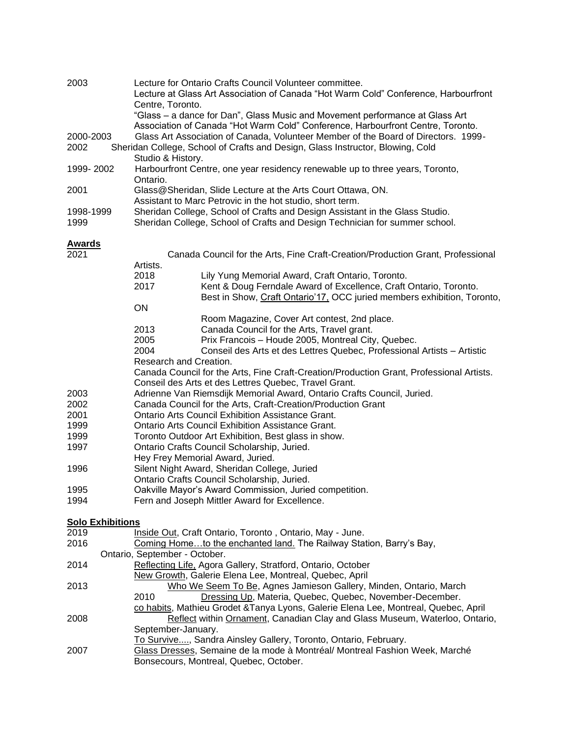| 2003                    | Lecture for Ontario Crafts Council Volunteer committee.<br>Lecture at Glass Art Association of Canada "Hot Warm Cold" Conference, Harbourfront<br>Centre, Toronto.<br>"Glass – a dance for Dan", Glass Music and Movement performance at Glass Art                           |  |  |  |
|-------------------------|------------------------------------------------------------------------------------------------------------------------------------------------------------------------------------------------------------------------------------------------------------------------------|--|--|--|
| 2000-2003<br>2002       | Association of Canada "Hot Warm Cold" Conference, Harbourfront Centre, Toronto.<br>Glass Art Association of Canada, Volunteer Member of the Board of Directors. 1999-<br>Sheridan College, School of Crafts and Design, Glass Instructor, Blowing, Cold<br>Studio & History. |  |  |  |
| 1999-2002               | Harbourfront Centre, one year residency renewable up to three years, Toronto,<br>Ontario.                                                                                                                                                                                    |  |  |  |
| 2001                    | Glass@Sheridan, Slide Lecture at the Arts Court Ottawa, ON.                                                                                                                                                                                                                  |  |  |  |
| 1998-1999               | Assistant to Marc Petrovic in the hot studio, short term.                                                                                                                                                                                                                    |  |  |  |
| 1999                    | Sheridan College, School of Crafts and Design Assistant in the Glass Studio.<br>Sheridan College, School of Crafts and Design Technician for summer school.                                                                                                                  |  |  |  |
| <b>Awards</b>           |                                                                                                                                                                                                                                                                              |  |  |  |
| 2021                    | Canada Council for the Arts, Fine Craft-Creation/Production Grant, Professional<br>Artists.                                                                                                                                                                                  |  |  |  |
|                         | 2018<br>Lily Yung Memorial Award, Craft Ontario, Toronto.                                                                                                                                                                                                                    |  |  |  |
|                         | 2017<br>Kent & Doug Ferndale Award of Excellence, Craft Ontario, Toronto.<br>Best in Show, Craft Ontario'17, OCC juried members exhibition, Toronto,                                                                                                                         |  |  |  |
|                         | ON<br>Room Magazine, Cover Art contest, 2nd place.                                                                                                                                                                                                                           |  |  |  |
|                         | 2013<br>Canada Council for the Arts, Travel grant.                                                                                                                                                                                                                           |  |  |  |
|                         | 2005<br>Prix Francois - Houde 2005, Montreal City, Quebec.                                                                                                                                                                                                                   |  |  |  |
|                         | 2004<br>Conseil des Arts et des Lettres Quebec, Professional Artists - Artistic                                                                                                                                                                                              |  |  |  |
|                         | Research and Creation.                                                                                                                                                                                                                                                       |  |  |  |
|                         | Canada Council for the Arts, Fine Craft-Creation/Production Grant, Professional Artists.                                                                                                                                                                                     |  |  |  |
|                         | Conseil des Arts et des Lettres Quebec, Travel Grant.                                                                                                                                                                                                                        |  |  |  |
| 2003                    | Adrienne Van Riemsdijk Memorial Award, Ontario Crafts Council, Juried.                                                                                                                                                                                                       |  |  |  |
| 2002<br>2001            | Canada Council for the Arts, Craft-Creation/Production Grant<br><b>Ontario Arts Council Exhibition Assistance Grant.</b>                                                                                                                                                     |  |  |  |
| 1999                    | Ontario Arts Council Exhibition Assistance Grant.                                                                                                                                                                                                                            |  |  |  |
| 1999                    | Toronto Outdoor Art Exhibition, Best glass in show.                                                                                                                                                                                                                          |  |  |  |
| 1997                    | Ontario Crafts Council Scholarship, Juried.                                                                                                                                                                                                                                  |  |  |  |
|                         | Hey Frey Memorial Award, Juried.                                                                                                                                                                                                                                             |  |  |  |
| 1996                    | Silent Night Award, Sheridan College, Juried                                                                                                                                                                                                                                 |  |  |  |
|                         | Ontario Crafts Council Scholarship, Juried.                                                                                                                                                                                                                                  |  |  |  |
| 1995                    | Oakville Mayor's Award Commission, Juried competition.                                                                                                                                                                                                                       |  |  |  |
| 1994                    | Fern and Joseph Mittler Award for Excellence.                                                                                                                                                                                                                                |  |  |  |
| <b>Solo Exhibitions</b> |                                                                                                                                                                                                                                                                              |  |  |  |
| 2019                    | Inside Out, Craft Ontario, Toronto, Ontario, May - June.                                                                                                                                                                                                                     |  |  |  |
| 2016                    | Coming Hometo the enchanted land. The Railway Station, Barry's Bay,<br>Ontario, September - October.                                                                                                                                                                         |  |  |  |
| 2014                    | Reflecting Life, Agora Gallery, Stratford, Ontario, October                                                                                                                                                                                                                  |  |  |  |
|                         | New Growth, Galerie Elena Lee, Montreal, Quebec, April                                                                                                                                                                                                                       |  |  |  |
| 2013                    | Who We Seem To Be, Agnes Jamieson Gallery, Minden, Ontario, March                                                                                                                                                                                                            |  |  |  |
|                         | 2010<br>Dressing Up, Materia, Quebec, Quebec, November-December.                                                                                                                                                                                                             |  |  |  |
|                         | co habits, Mathieu Grodet & Tanya Lyons, Galerie Elena Lee, Montreal, Quebec, April                                                                                                                                                                                          |  |  |  |
| 2008                    | Reflect within Ornament, Canadian Clay and Glass Museum, Waterloo, Ontario,                                                                                                                                                                                                  |  |  |  |
|                         | September-January.                                                                                                                                                                                                                                                           |  |  |  |
| 2007                    | To Survive, Sandra Ainsley Gallery, Toronto, Ontario, February.<br>Glass Dresses, Semaine de la mode à Montréal/ Montreal Fashion Week, Marché<br>Bonsecours, Montreal, Quebec, October.                                                                                     |  |  |  |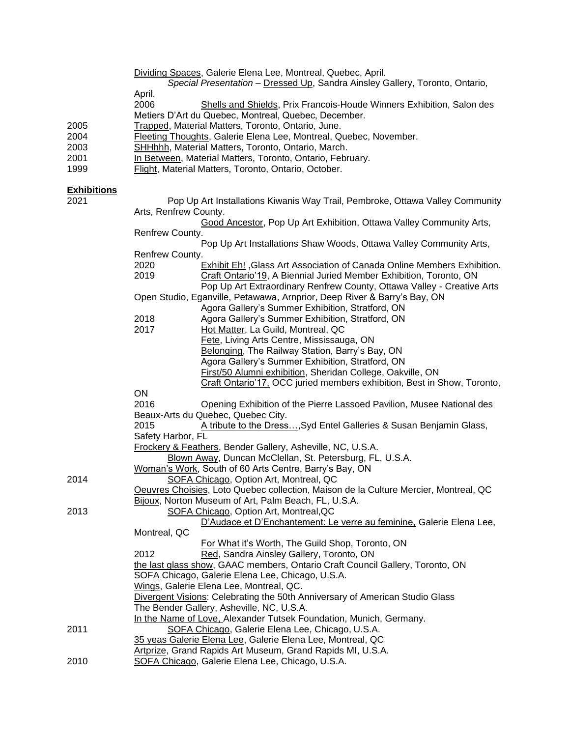|                    | Dividing Spaces, Galerie Elena Lee, Montreal, Quebec, April.<br>Special Presentation - Dressed Up, Sandra Ainsley Gallery, Toronto, Ontario,    |  |  |
|--------------------|-------------------------------------------------------------------------------------------------------------------------------------------------|--|--|
|                    | April.<br>2006<br>Shells and Shields, Prix Francois-Houde Winners Exhibition, Salon des<br>Metiers D'Art du Quebec, Montreal, Quebec, December. |  |  |
| 2005               | Trapped, Material Matters, Toronto, Ontario, June.                                                                                              |  |  |
| 2004               | Fleeting Thoughts, Galerie Elena Lee, Montreal, Quebec, November.                                                                               |  |  |
| 2003               | SHHhhh, Material Matters, Toronto, Ontario, March.                                                                                              |  |  |
| 2001               | In Between, Material Matters, Toronto, Ontario, February.                                                                                       |  |  |
| 1999               | Flight, Material Matters, Toronto, Ontario, October.                                                                                            |  |  |
| <b>Exhibitions</b> |                                                                                                                                                 |  |  |
| 2021               | Pop Up Art Installations Kiwanis Way Trail, Pembroke, Ottawa Valley Community                                                                   |  |  |
|                    | Arts, Renfrew County.                                                                                                                           |  |  |
|                    | Good Ancestor, Pop Up Art Exhibition, Ottawa Valley Community Arts,                                                                             |  |  |
|                    | Renfrew County.                                                                                                                                 |  |  |
|                    | Pop Up Art Installations Shaw Woods, Ottawa Valley Community Arts,                                                                              |  |  |
|                    | Renfrew County.                                                                                                                                 |  |  |
|                    | 2020<br>Exhibit Eh!, Glass Art Association of Canada Online Members Exhibition.                                                                 |  |  |
|                    | 2019<br>Craft Ontario'19, A Biennial Juried Member Exhibition, Toronto, ON                                                                      |  |  |
|                    | Pop Up Art Extraordinary Renfrew County, Ottawa Valley - Creative Arts                                                                          |  |  |
|                    | Open Studio, Eganville, Petawawa, Arnprior, Deep River & Barry's Bay, ON                                                                        |  |  |
|                    | Agora Gallery's Summer Exhibition, Stratford, ON                                                                                                |  |  |
|                    | 2018<br>Agora Gallery's Summer Exhibition, Stratford, ON<br>2017<br>Hot Matter, La Guild, Montreal, QC                                          |  |  |
|                    | Fete, Living Arts Centre, Mississauga, ON                                                                                                       |  |  |
|                    | Belonging, The Railway Station, Barry's Bay, ON                                                                                                 |  |  |
|                    | Agora Gallery's Summer Exhibition, Stratford, ON                                                                                                |  |  |
|                    | First/50 Alumni exhibition, Sheridan College, Oakville, ON                                                                                      |  |  |
|                    | Craft Ontario'17, OCC juried members exhibition, Best in Show, Toronto,                                                                         |  |  |
|                    | ON                                                                                                                                              |  |  |
|                    | 2016<br>Opening Exhibition of the Pierre Lassoed Pavilion, Musee National des                                                                   |  |  |
|                    | Beaux-Arts du Quebec, Quebec City.                                                                                                              |  |  |
|                    | 2015<br>A tribute to the Dress, Syd Entel Galleries & Susan Benjamin Glass,                                                                     |  |  |
|                    | Safety Harbor, FL                                                                                                                               |  |  |
|                    | Frockery & Feathers, Bender Gallery, Asheville, NC, U.S.A.                                                                                      |  |  |
|                    | Blown Away, Duncan McClellan, St. Petersburg, FL, U.S.A.                                                                                        |  |  |
|                    | Woman's Work, South of 60 Arts Centre, Barry's Bay, ON                                                                                          |  |  |
| 2014               | SOFA Chicago, Option Art, Montreal, QC                                                                                                          |  |  |
|                    | Oeuvres Choisies, Loto Quebec collection, Maison de la Culture Mercier, Montreal, QC                                                            |  |  |
|                    | Bijoux, Norton Museum of Art, Palm Beach, FL, U.S.A.                                                                                            |  |  |
| 2013               | SOFA Chicago, Option Art, Montreal, QC                                                                                                          |  |  |
|                    | D'Audace et D'Enchantement: Le verre au feminine, Galerie Elena Lee,<br>Montreal, QC                                                            |  |  |
|                    | For What it's Worth, The Guild Shop, Toronto, ON                                                                                                |  |  |
|                    | Red, Sandra Ainsley Gallery, Toronto, ON<br>2012                                                                                                |  |  |
|                    | the last glass show, GAAC members, Ontario Craft Council Gallery, Toronto, ON                                                                   |  |  |
|                    | SOFA Chicago, Galerie Elena Lee, Chicago, U.S.A.                                                                                                |  |  |
|                    | Wings, Galerie Elena Lee, Montreal, QC.                                                                                                         |  |  |
|                    | <b>Divergent Visions: Celebrating the 50th Anniversary of American Studio Glass</b>                                                             |  |  |
|                    | The Bender Gallery, Asheville, NC, U.S.A.                                                                                                       |  |  |
|                    | In the Name of Love, Alexander Tutsek Foundation, Munich, Germany.                                                                              |  |  |
| 2011               | SOFA Chicago, Galerie Elena Lee, Chicago, U.S.A.                                                                                                |  |  |
|                    | 35 yeas Galerie Elena Lee, Galerie Elena Lee, Montreal, QC                                                                                      |  |  |
|                    | Artprize, Grand Rapids Art Museum, Grand Rapids MI, U.S.A.                                                                                      |  |  |
| 2010               | SOFA Chicago, Galerie Elena Lee, Chicago, U.S.A.                                                                                                |  |  |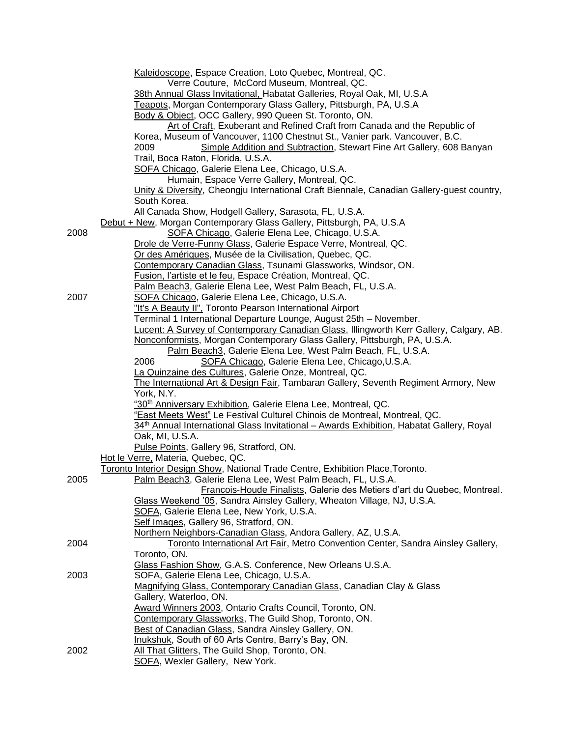|      | Kaleidoscope, Espace Creation, Loto Quebec, Montreal, QC.<br>Verre Couture, McCord Museum, Montreal, QC.                                                 |
|------|----------------------------------------------------------------------------------------------------------------------------------------------------------|
|      | 38th Annual Glass Invitational, Habatat Galleries, Royal Oak, MI, U.S.A<br>Teapots, Morgan Contemporary Glass Gallery, Pittsburgh, PA, U.S.A             |
|      | Body & Object, OCC Gallery, 990 Queen St. Toronto, ON.                                                                                                   |
|      | Art of Craft, Exuberant and Refined Craft from Canada and the Republic of<br>Korea, Museum of Vancouver, 1100 Chestnut St., Vanier park. Vancouver, B.C. |
|      | Simple Addition and Subtraction, Stewart Fine Art Gallery, 608 Banyan<br>2009                                                                            |
|      | Trail, Boca Raton, Florida, U.S.A.                                                                                                                       |
|      | SOFA Chicago, Galerie Elena Lee, Chicago, U.S.A.                                                                                                         |
|      | Humain, Espace Verre Gallery, Montreal, QC.                                                                                                              |
|      | Unity & Diversity, Cheongju International Craft Biennale, Canadian Gallery-guest country,                                                                |
|      | South Korea.                                                                                                                                             |
|      | All Canada Show, Hodgell Gallery, Sarasota, FL, U.S.A.<br>Debut + New, Morgan Contemporary Glass Gallery, Pittsburgh, PA, U.S.A                          |
| 2008 | SOFA Chicago, Galerie Elena Lee, Chicago, U.S.A.                                                                                                         |
|      | Drole de Verre-Funny Glass, Galerie Espace Verre, Montreal, QC.                                                                                          |
|      | Or des Amériques, Musée de la Civilisation, Quebec, QC.                                                                                                  |
|      | Contemporary Canadian Glass, Tsunami Glassworks, Windsor, ON.                                                                                            |
|      | Fusion, l'artiste et le feu, Espace Création, Montreal, QC.                                                                                              |
|      | Palm Beach3, Galerie Elena Lee, West Palm Beach, FL, U.S.A.                                                                                              |
| 2007 | SOFA Chicago, Galerie Elena Lee, Chicago, U.S.A.<br>"It's A Beauty II". Toronto Pearson International Airport                                            |
|      | Terminal 1 International Departure Lounge, August 25th - November.                                                                                       |
|      | Lucent: A Survey of Contemporary Canadian Glass, Illingworth Kerr Gallery, Calgary, AB.                                                                  |
|      | Nonconformists, Morgan Contemporary Glass Gallery, Pittsburgh, PA, U.S.A.                                                                                |
|      | Palm Beach3, Galerie Elena Lee, West Palm Beach, FL, U.S.A.                                                                                              |
|      | 2006<br>SOFA Chicago, Galerie Elena Lee, Chicago, U.S.A.                                                                                                 |
|      | La Quinzaine des Cultures, Galerie Onze, Montreal, QC.                                                                                                   |
|      | The International Art & Design Fair, Tambaran Gallery, Seventh Regiment Armory, New<br>York, N.Y.                                                        |
|      | "30 <sup>th</sup> Anniversary Exhibition, Galerie Elena Lee, Montreal, QC.                                                                               |
|      | "East Meets West" Le Festival Culturel Chinois de Montreal, Montreal, QC.                                                                                |
|      | 34 <sup>th</sup> Annual International Glass Invitational – Awards Exhibition, Habatat Gallery, Royal                                                     |
|      | Oak, MI, U.S.A.                                                                                                                                          |
|      | Pulse Points, Gallery 96, Stratford, ON.                                                                                                                 |
|      | Hot le Verre, Materia, Quebec, QC.                                                                                                                       |
| 2005 | Toronto Interior Design Show, National Trade Centre, Exhibition Place, Toronto.<br>Palm Beach3, Galerie Elena Lee, West Palm Beach, FL, U.S.A.           |
|      | Francois-Houde Finalists, Galerie des Metiers d'art du Quebec, Montreal.                                                                                 |
|      | Glass Weekend '05, Sandra Ainsley Gallery, Wheaton Village, NJ, U.S.A.                                                                                   |
|      | SOFA, Galerie Elena Lee, New York, U.S.A.                                                                                                                |
|      | Self Images, Gallery 96, Stratford, ON.                                                                                                                  |
|      | Northern Neighbors-Canadian Glass, Andora Gallery, AZ, U.S.A.                                                                                            |
| 2004 | Toronto International Art Fair, Metro Convention Center, Sandra Ainsley Gallery,                                                                         |
|      | Toronto, ON.<br>Glass Fashion Show, G.A.S. Conference, New Orleans U.S.A.                                                                                |
| 2003 | SOFA, Galerie Elena Lee, Chicago, U.S.A.                                                                                                                 |
|      | Magnifying Glass, Contemporary Canadian Glass, Canadian Clay & Glass                                                                                     |
|      | Gallery, Waterloo, ON.                                                                                                                                   |
|      | Award Winners 2003, Ontario Crafts Council, Toronto, ON.                                                                                                 |
|      | Contemporary Glassworks, The Guild Shop, Toronto, ON.                                                                                                    |
|      | Best of Canadian Glass, Sandra Ainsley Gallery, ON.                                                                                                      |
|      | Inukshuk, South of 60 Arts Centre, Barry's Bay, ON.                                                                                                      |
| 2002 | All That Glitters, The Guild Shop, Toronto, ON.<br>SOFA, Wexler Gallery, New York.                                                                       |
|      |                                                                                                                                                          |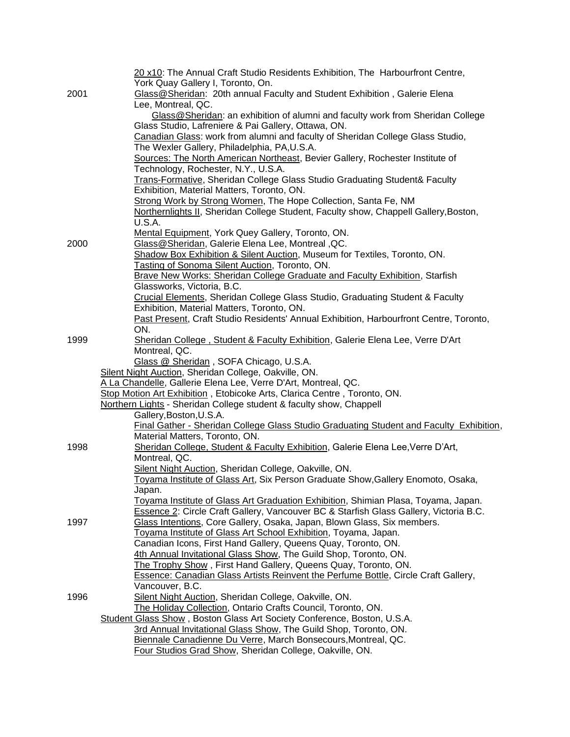| 2001 | 20 x10: The Annual Craft Studio Residents Exhibition, The Harbourfront Centre,<br>York Quay Gallery I, Toronto, On.<br>Glass@Sheridan: 20th annual Faculty and Student Exhibition, Galerie Elena<br>Lee, Montreal, QC.<br>Glass@Sheridan: an exhibition of alumni and faculty work from Sheridan College |
|------|----------------------------------------------------------------------------------------------------------------------------------------------------------------------------------------------------------------------------------------------------------------------------------------------------------|
|      | Glass Studio, Lafreniere & Pai Gallery, Ottawa, ON.                                                                                                                                                                                                                                                      |
|      | Canadian Glass: work from alumni and faculty of Sheridan College Glass Studio,                                                                                                                                                                                                                           |
|      | The Wexler Gallery, Philadelphia, PA, U.S.A.<br>Sources: The North American Northeast, Bevier Gallery, Rochester Institute of                                                                                                                                                                            |
|      | Technology, Rochester, N.Y., U.S.A.                                                                                                                                                                                                                                                                      |
|      | Trans-Formative, Sheridan College Glass Studio Graduating Student& Faculty                                                                                                                                                                                                                               |
|      | Exhibition, Material Matters, Toronto, ON.                                                                                                                                                                                                                                                               |
|      | Strong Work by Strong Women, The Hope Collection, Santa Fe, NM                                                                                                                                                                                                                                           |
|      | Northernlights II, Sheridan College Student, Faculty show, Chappell Gallery, Boston,                                                                                                                                                                                                                     |
|      | U.S.A.                                                                                                                                                                                                                                                                                                   |
|      | Mental Equipment, York Quey Gallery, Toronto, ON.                                                                                                                                                                                                                                                        |
| 2000 | Glass@Sheridan, Galerie Elena Lee, Montreal, QC.                                                                                                                                                                                                                                                         |
|      | Shadow Box Exhibition & Silent Auction, Museum for Textiles, Toronto, ON.<br>Tasting of Sonoma Silent Auction, Toronto, ON.                                                                                                                                                                              |
|      | <b>Brave New Works: Sheridan College Graduate and Faculty Exhibition, Starfish</b>                                                                                                                                                                                                                       |
|      | Glassworks, Victoria, B.C.                                                                                                                                                                                                                                                                               |
|      | Crucial Elements, Sheridan College Glass Studio, Graduating Student & Faculty                                                                                                                                                                                                                            |
|      | Exhibition, Material Matters, Toronto, ON.                                                                                                                                                                                                                                                               |
|      | Past Present, Craft Studio Residents' Annual Exhibition, Harbourfront Centre, Toronto,                                                                                                                                                                                                                   |
|      | ON.                                                                                                                                                                                                                                                                                                      |
| 1999 | Sheridan College, Student & Faculty Exhibition, Galerie Elena Lee, Verre D'Art                                                                                                                                                                                                                           |
|      | Montreal, QC.                                                                                                                                                                                                                                                                                            |
|      | Glass @ Sheridan, SOFA Chicago, U.S.A.                                                                                                                                                                                                                                                                   |
|      | Silent Night Auction, Sheridan College, Oakville, ON.<br>A La Chandelle, Gallerie Elena Lee, Verre D'Art, Montreal, QC.                                                                                                                                                                                  |
|      | Stop Motion Art Exhibition, Etobicoke Arts, Clarica Centre, Toronto, ON.                                                                                                                                                                                                                                 |
|      | Northern Lights - Sheridan College student & faculty show, Chappell                                                                                                                                                                                                                                      |
|      | Gallery, Boston, U.S.A.                                                                                                                                                                                                                                                                                  |
|      | Final Gather - Sheridan College Glass Studio Graduating Student and Faculty Exhibition,                                                                                                                                                                                                                  |
|      | Material Matters, Toronto, ON.                                                                                                                                                                                                                                                                           |
| 1998 | Sheridan College, Student & Faculty Exhibition, Galerie Elena Lee, Verre D'Art,                                                                                                                                                                                                                          |
|      | Montreal, QC.                                                                                                                                                                                                                                                                                            |
|      | Silent Night Auction, Sheridan College, Oakville, ON.<br>Toyama Institute of Glass Art, Six Person Graduate Show, Gallery Enomoto, Osaka,                                                                                                                                                                |
|      | Japan.                                                                                                                                                                                                                                                                                                   |
|      | Toyama Institute of Glass Art Graduation Exhibition, Shimian Plasa, Toyama, Japan.                                                                                                                                                                                                                       |
|      | Essence 2: Circle Craft Gallery, Vancouver BC & Starfish Glass Gallery, Victoria B.C.                                                                                                                                                                                                                    |
| 1997 | Glass Intentions, Core Gallery, Osaka, Japan, Blown Glass, Six members.                                                                                                                                                                                                                                  |
|      | Toyama Institute of Glass Art School Exhibition, Toyama, Japan.                                                                                                                                                                                                                                          |
|      | Canadian Icons, First Hand Gallery, Queens Quay, Toronto, ON.                                                                                                                                                                                                                                            |
|      | 4th Annual Invitational Glass Show, The Guild Shop, Toronto, ON.                                                                                                                                                                                                                                         |
|      | The Trophy Show, First Hand Gallery, Queens Quay, Toronto, ON.                                                                                                                                                                                                                                           |
|      | <b>Essence: Canadian Glass Artists Reinvent the Perfume Bottle, Circle Craft Gallery,</b><br>Vancouver, B.C.                                                                                                                                                                                             |
| 1996 | Silent Night Auction, Sheridan College, Oakville, ON.                                                                                                                                                                                                                                                    |
|      | The Holiday Collection, Ontario Crafts Council, Toronto, ON.                                                                                                                                                                                                                                             |
|      | Student Glass Show, Boston Glass Art Society Conference, Boston, U.S.A.                                                                                                                                                                                                                                  |
|      | 3rd Annual Invitational Glass Show, The Guild Shop, Toronto, ON.                                                                                                                                                                                                                                         |
|      | Biennale Canadienne Du Verre, March Bonsecours, Montreal, QC.                                                                                                                                                                                                                                            |
|      | Four Studios Grad Show, Sheridan College, Oakville, ON.                                                                                                                                                                                                                                                  |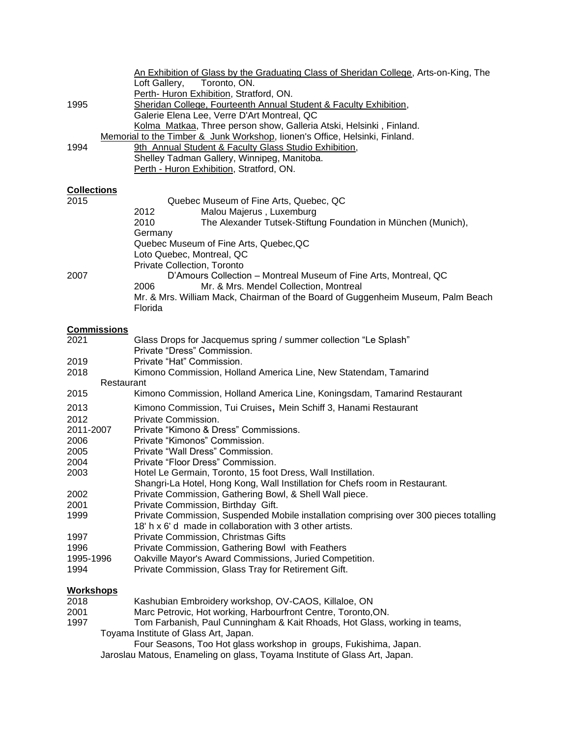|                    | An Exhibition of Glass by the Graduating Class of Sheridan College, Arts-on-King, The  |
|--------------------|----------------------------------------------------------------------------------------|
|                    | Toronto, ON.<br>Loft Gallery,                                                          |
|                    | Perth- Huron Exhibition, Stratford, ON.                                                |
| 1995               | Sheridan College, Fourteenth Annual Student & Faculty Exhibition,                      |
|                    | Galerie Elena Lee, Verre D'Art Montreal, QC                                            |
|                    | Kolma Matkaa, Three person show, Galleria Atski, Helsinki, Finland.                    |
|                    | Memorial to the Timber & Junk Workshop, Iionen's Office, Helsinki, Finland.            |
| 1994               | 9th Annual Student & Faculty Glass Studio Exhibition,                                  |
|                    | Shelley Tadman Gallery, Winnipeg, Manitoba.                                            |
|                    | Perth - Huron Exhibition, Stratford, ON.                                               |
|                    |                                                                                        |
| <b>Collections</b> |                                                                                        |
| 2015               | Quebec Museum of Fine Arts, Quebec, QC                                                 |
|                    | Malou Majerus, Luxemburg<br>2012                                                       |
|                    | 2010<br>The Alexander Tutsek-Stiftung Foundation in München (Munich),                  |
|                    | Germany                                                                                |
|                    | Quebec Museum of Fine Arts, Quebec, QC                                                 |
|                    | Loto Quebec, Montreal, QC                                                              |
|                    | <b>Private Collection, Toronto</b>                                                     |
| 2007               | D'Amours Collection - Montreal Museum of Fine Arts, Montreal, QC                       |
|                    | Mr. & Mrs. Mendel Collection, Montreal<br>2006                                         |
|                    | Mr. & Mrs. William Mack, Chairman of the Board of Guggenheim Museum, Palm Beach        |
|                    | Florida                                                                                |
|                    |                                                                                        |
| <b>Commissions</b> |                                                                                        |
| 2021               | Glass Drops for Jacquemus spring / summer collection "Le Splash"                       |
|                    | Private "Dress" Commission.                                                            |
| 2019               | Private "Hat" Commission.                                                              |
| 2018               | Kimono Commission, Holland America Line, New Statendam, Tamarind                       |
|                    | Restaurant                                                                             |
| 2015               | Kimono Commission, Holland America Line, Koningsdam, Tamarind Restaurant               |
| 2013               | Kimono Commission, Tui Cruises, Mein Schiff 3, Hanami Restaurant                       |
| 2012               | Private Commission.                                                                    |
| 2011-2007          | Private "Kimono & Dress" Commissions.                                                  |
| 2006               | Private "Kimonos" Commission.                                                          |
| 2005               | Private "Wall Dress" Commission.                                                       |
| 2004               | Private "Floor Dress" Commission.                                                      |
| 2003               | Hotel Le Germain, Toronto, 15 foot Dress, Wall Instillation.                           |
|                    | Shangri-La Hotel, Hong Kong, Wall Instillation for Chefs room in Restaurant.           |
| 2002               | Private Commission, Gathering Bowl, & Shell Wall piece.                                |
| 2001               | Private Commission, Birthday Gift.                                                     |
| 1999               | Private Commission, Suspended Mobile installation comprising over 300 pieces totalling |
|                    | 18' h x 6' d made in collaboration with 3 other artists.                               |
| 1997               | Private Commission, Christmas Gifts                                                    |
| 1996               | Private Commission, Gathering Bowl with Feathers                                       |
| 1995-1996          | Oakville Mayor's Award Commissions, Juried Competition.                                |
| 1994               | Private Commission, Glass Tray for Retirement Gift.                                    |
|                    |                                                                                        |
| <b>Workshops</b>   |                                                                                        |
| 2018               | Kashubian Embroidery workshop, OV-CAOS, Killaloe, ON                                   |
| 2001<br>1997       | Marc Petrovic, Hot working, Harbourfront Centre, Toronto, ON.                          |
|                    | Tom Farbanish, Paul Cunningham & Kait Rhoads, Hot Glass, working in teams,             |
|                    | Toyama Institute of Glass Art, Japan.                                                  |
|                    | Four Seasons, Too Hot glass workshop in groups, Fukishima, Japan.                      |

Jaroslau Matous, Enameling on glass, Toyama Institute of Glass Art, Japan.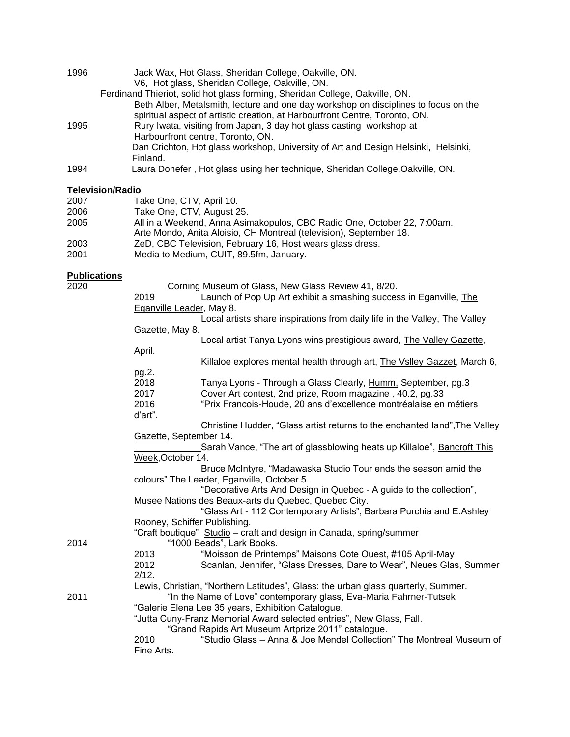| 1996 | Jack Wax, Hot Glass, Sheridan College, Oakville, ON.                                |
|------|-------------------------------------------------------------------------------------|
|      | V6, Hot glass, Sheridan College, Oakville, ON.                                      |
|      | Ferdinand Thieriot, solid hot glass forming, Sheridan College, Oakville, ON.        |
|      | Beth Alber, Metalsmith, lecture and one day workshop on disciplines to focus on the |
|      | spiritual aspect of artistic creation, at Harbourfront Centre, Toronto, ON.         |
| 1995 | Rury Iwata, visiting from Japan, 3 day hot glass casting workshop at                |
|      | Harbourfront centre, Toronto, ON.                                                   |
|      | Dan Crichton, Hot glass workshop, University of Art and Design Helsinki, Helsinki,  |
|      | Finland.                                                                            |
| 1994 | Laura Donefer, Hot glass using her technique, Sheridan College, Oakville, ON.       |

### **Television/Radio**

| 2007 | Take One, CTV, April 10.                                                                                                                      |
|------|-----------------------------------------------------------------------------------------------------------------------------------------------|
| 2006 | Take One, CTV, August 25.                                                                                                                     |
| 2005 | All in a Weekend, Anna Asimakopulos, CBC Radio One, October 22, 7:00am.<br>Arte Mondo, Anita Aloisio, CH Montreal (television), September 18. |
| 2003 | ZeD, CBC Television, February 16, Host wears glass dress.                                                                                     |
| 2001 | Media to Medium, CUIT, 89.5fm, January.                                                                                                       |

## **Publications**

| 2020 |                          | Corning Museum of Glass, New Glass Review 41, 8/20.                               |
|------|--------------------------|-----------------------------------------------------------------------------------|
|      | 2019                     | Launch of Pop Up Art exhibit a smashing success in Eganville, The                 |
|      | Eganville Leader, May 8. |                                                                                   |
|      |                          | Local artists share inspirations from daily life in the Valley, The Valley        |
|      | Gazette, May 8.          |                                                                                   |
|      |                          | Local artist Tanya Lyons wins prestigious award, The Valley Gazette,              |
|      | April.                   |                                                                                   |
|      |                          | Killaloe explores mental health through art, The Vslley Gazzet, March 6,          |
|      | pg.2.                    |                                                                                   |
|      | 2018                     | Tanya Lyons - Through a Glass Clearly, Humm. September, pg.3                      |
|      | 2017                     | Cover Art contest, 2nd prize, Room magazine, 40.2, pg.33                          |
|      | 2016                     | "Prix Francois-Houde, 20 ans d'excellence montréalaise en métiers                 |
|      | d'art".                  |                                                                                   |
|      |                          | Christine Hudder, "Glass artist returns to the enchanted land", The Valley        |
|      | Gazette, September 14.   |                                                                                   |
|      |                          | Sarah Vance, "The art of glassblowing heats up Killaloe", Bancroft This           |
|      | Week, October 14.        |                                                                                   |
|      |                          | Bruce McIntyre, "Madawaska Studio Tour ends the season amid the                   |
|      |                          | colours" The Leader, Eganville, October 5.                                        |
|      |                          | "Decorative Arts And Design in Quebec - A guide to the collection",               |
|      |                          | Musee Nations des Beaux-arts du Quebec, Quebec City.                              |
|      |                          | "Glass Art - 112 Contemporary Artists", Barbara Purchia and E.Ashley              |
|      |                          | Rooney, Schiffer Publishing.                                                      |
|      |                          | "Craft boutique" Studio - craft and design in Canada, spring/summer               |
| 2014 |                          | "1000 Beads", Lark Books.                                                         |
|      | 2013                     | "Moisson de Printemps" Maisons Cote Ouest, #105 April-May                         |
|      | 2012                     | Scanlan, Jennifer, "Glass Dresses, Dare to Wear", Neues Glas, Summer              |
|      | 2/12.                    |                                                                                   |
|      |                          | Lewis, Christian, "Northern Latitudes", Glass: the urban glass quarterly, Summer. |
| 2011 |                          | "In the Name of Love" contemporary glass, Eva-Maria Fahrner-Tutsek                |
|      |                          | "Galerie Elena Lee 35 years, Exhibition Catalogue.                                |
|      |                          | "Jutta Cuny-Franz Memorial Award selected entries", New Glass, Fall.              |
|      |                          | "Grand Rapids Art Museum Artprize 2011" catalogue.                                |
|      | 2010                     | "Studio Glass - Anna & Joe Mendel Collection" The Montreal Museum of              |
|      | Fine Arts.               |                                                                                   |